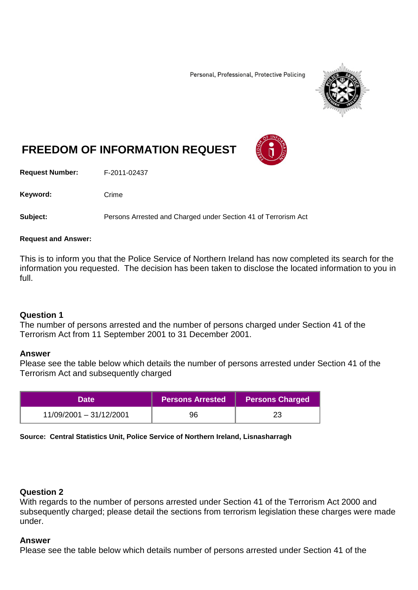Personal, Professional, Protective Policing



# **FREEDOM OF INFORMATION REQUEST**

**Request Number:** F-2011-02437

Keyword: Crime

**Subject:** Persons Arrested and Charged under Section 41 of Terrorism Act

#### **Request and Answer:**

This is to inform you that the Police Service of Northern Ireland has now completed its search for the information you requested. The decision has been taken to disclose the located information to you in full.

### **Question 1**

The number of persons arrested and the number of persons charged under Section 41 of the Terrorism Act from 11 September 2001 to 31 December 2001.

### **Answer**

Please see the table below which details the number of persons arrested under Section 41 of the Terrorism Act and subsequently charged

| <b>Date</b>             | <b>Persons Arrested</b> | <b>Persons Charged</b> |
|-------------------------|-------------------------|------------------------|
| 11/09/2001 - 31/12/2001 | 96                      |                        |

**Source: Central Statistics Unit, Police Service of Northern Ireland, Lisnasharragh**

## **Question 2**

With regards to the number of persons arrested under Section 41 of the Terrorism Act 2000 and subsequently charged; please detail the sections from terrorism legislation these charges were made under.

### **Answer**

Please see the table below which details number of persons arrested under Section 41 of the